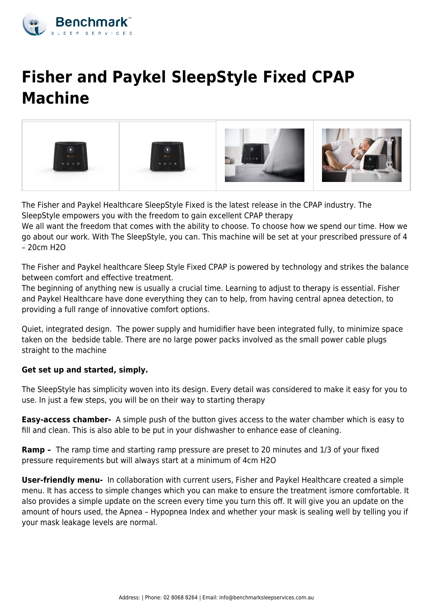

# **Fisher and Paykel SleepStyle Fixed CPAP Machine**



The Fisher and Paykel Healthcare SleepStyle Fixed is the latest release in the CPAP industry. The SleepStyle empowers you with the freedom to gain excellent CPAP therapy

We all want the freedom that comes with the ability to choose. To choose how we spend our time. How we go about our work. With The SleepStyle, you can. This machine will be set at your prescribed pressure of 4  $-20cm$  H<sub>2O</sub>

The Fisher and Paykel healthcare Sleep Style Fixed CPAP is powered by technology and strikes the balance between comfort and effective treatment.

The beginning of anything new is usually a crucial time. Learning to adjust to therapy is essential. Fisher and Paykel Healthcare have done everything they can to help, from having central apnea detection, to providing a full range of innovative comfort options.

Quiet, integrated design. The power supply and humidifier have been integrated fully, to minimize space taken on the bedside table. There are no large power packs involved as the small power cable plugs straight to the machine

### **Get set up and started, simply.**

The SleepStyle has simplicity woven into its design. Every detail was considered to make it easy for you to use. In just a few steps, you will be on their way to starting therapy

**Easy-access chamber-** A simple push of the button gives access to the water chamber which is easy to fill and clean. This is also able to be put in your dishwasher to enhance ease of cleaning.

**Ramp –** The ramp time and starting ramp pressure are preset to 20 minutes and 1/3 of your fixed pressure requirements but will always start at a minimum of 4cm H2O

**User-friendly menu-** In collaboration with current users, Fisher and Paykel Healthcare created a simple menu. It has access to simple changes which you can make to ensure the treatment ismore comfortable. It also provides a simple update on the screen every time you turn this off. It will give you an update on the amount of hours used, the Apnea – Hypopnea Index and whether your mask is sealing well by telling you if your mask leakage levels are normal.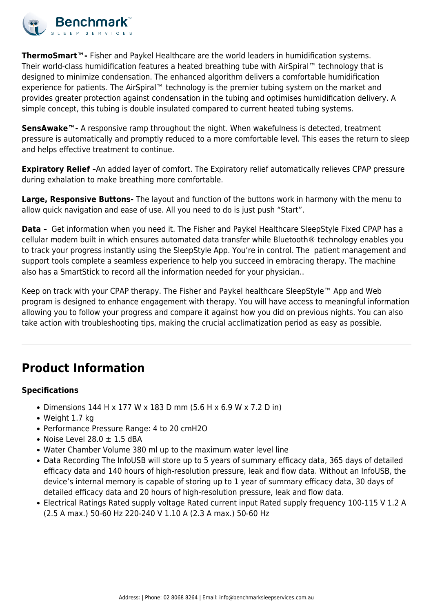

**ThermoSmart™-** Fisher and Paykel Healthcare are the world leaders in humidification systems. Their world-class humidification features a heated breathing tube with AirSpiral™ technology that is designed to minimize condensation. The enhanced algorithm delivers a comfortable humidification experience for patients. The AirSpiral™ technology is the premier tubing system on the market and provides greater protection against condensation in the tubing and optimises humidification delivery. A simple concept, this tubing is double insulated compared to current heated tubing systems.

**SensAwake™-** A responsive ramp throughout the night. When wakefulness is detected, treatment pressure is automatically and promptly reduced to a more comfortable level. This eases the return to sleep and helps effective treatment to continue.

**Expiratory Relief -**An added layer of comfort. The Expiratory relief automatically relieves CPAP pressure during exhalation to make breathing more comfortable.

**Large, Responsive Buttons-** The layout and function of the buttons work in harmony with the menu to allow quick navigation and ease of use. All you need to do is just push "Start".

**Data –** Get information when you need it. The Fisher and Paykel Healthcare SleepStyle Fixed CPAP has a cellular modem built in which ensures automated data transfer while Bluetooth® technology enables you to track your progress instantly using the SleepStyle App. You're in control. The patient management and support tools complete a seamless experience to help you succeed in embracing therapy. The machine also has a SmartStick to record all the information needed for your physician..

Keep on track with your CPAP therapy. The Fisher and Paykel healthcare SleepStyle™ App and Web program is designed to enhance engagement with therapy. You will have access to meaningful information allowing you to follow your progress and compare it against how you did on previous nights. You can also take action with troubleshooting tips, making the crucial acclimatization period as easy as possible.

## **Product Information**

### **Specifications**

- Dimensions 144 H x 177 W x 183 D mm (5.6 H x 6.9 W x 7.2 D in)
- Weight 1.7 kg
- Performance Pressure Range: 4 to 20 cmH2O
- Noise Level  $28.0 \pm 1.5$  dBA
- Water Chamber Volume 380 ml up to the maximum water level line
- Data Recording The InfoUSB will store up to 5 years of summary efficacy data, 365 days of detailed efficacy data and 140 hours of high-resolution pressure, leak and flow data. Without an InfoUSB, the device's internal memory is capable of storing up to 1 year of summary efficacy data, 30 days of detailed efficacy data and 20 hours of high-resolution pressure, leak and flow data.
- Electrical Ratings Rated supply voltage Rated current input Rated supply frequency 100-115 V 1.2 A (2.5 A max.) 50-60 Hz 220-240 V 1.10 A (2.3 A max.) 50-60 Hz